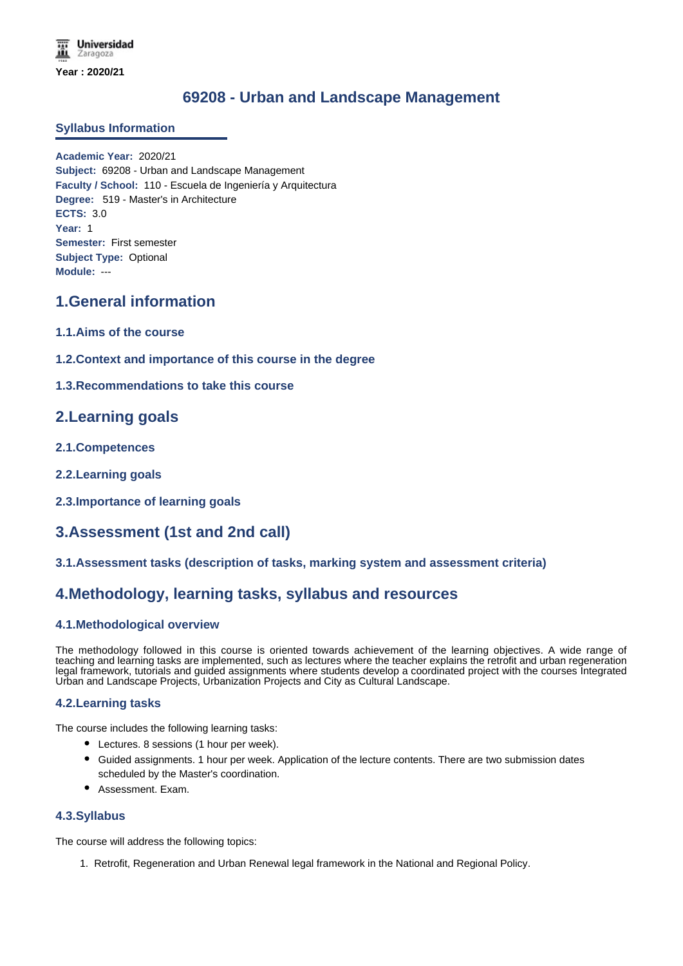# **69208 - Urban and Landscape Management**

### **Syllabus Information**

**Academic Year:** 2020/21 **Subject:** 69208 - Urban and Landscape Management **Faculty / School:** 110 - Escuela de Ingeniería y Arquitectura **Degree:** 519 - Master's in Architecture **ECTS:** 3.0 **Year:** 1 **Semester:** First semester **Subject Type:** Optional **Module:** ---

# **1.General information**

- **1.1.Aims of the course**
- **1.2.Context and importance of this course in the degree**
- **1.3.Recommendations to take this course**

# **2.Learning goals**

- **2.1.Competences**
- **2.2.Learning goals**
- **2.3.Importance of learning goals**

# **3.Assessment (1st and 2nd call)**

**3.1.Assessment tasks (description of tasks, marking system and assessment criteria)**

## **4.Methodology, learning tasks, syllabus and resources**

### **4.1.Methodological overview**

The methodology followed in this course is oriented towards achievement of the learning objectives. A wide range of teaching and learning tasks are implemented, such as lectures where the teacher explains the retrofit and urban regeneration legal framework, tutorials and guided assignments where students develop a coordinated project with the courses Integrated Urban and Landscape Projects, Urbanization Projects and City as Cultural Landscape.

### **4.2.Learning tasks**

The course includes the following learning tasks:

- Lectures. 8 sessions (1 hour per week).
- Guided assignments. 1 hour per week. Application of the lecture contents. There are two submission dates scheduled by the Master's coordination.
- Assessment. Exam.

#### **4.3.Syllabus**

The course will address the following topics:

1. Retrofit, Regeneration and Urban Renewal legal framework in the National and Regional Policy.